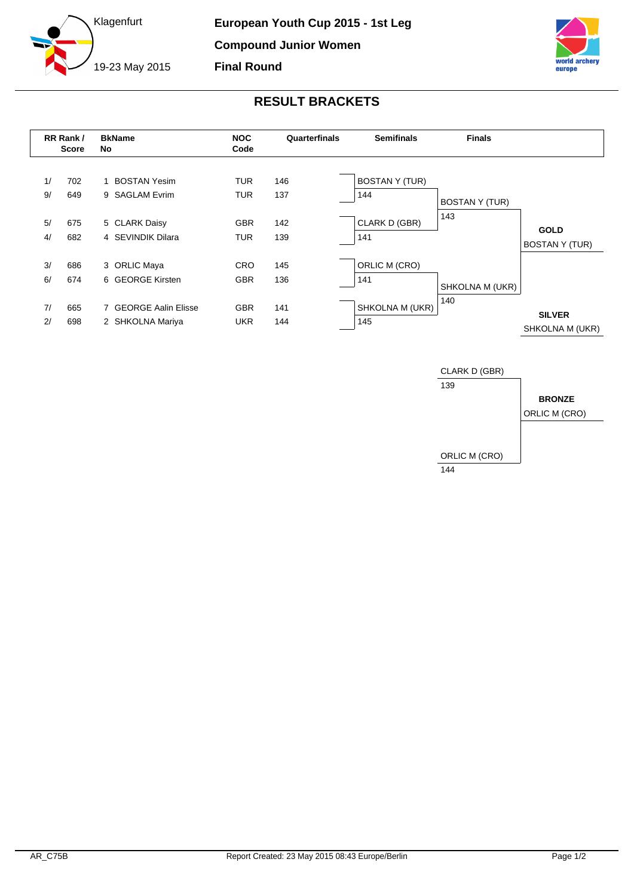



## **RESULT BRACKETS**